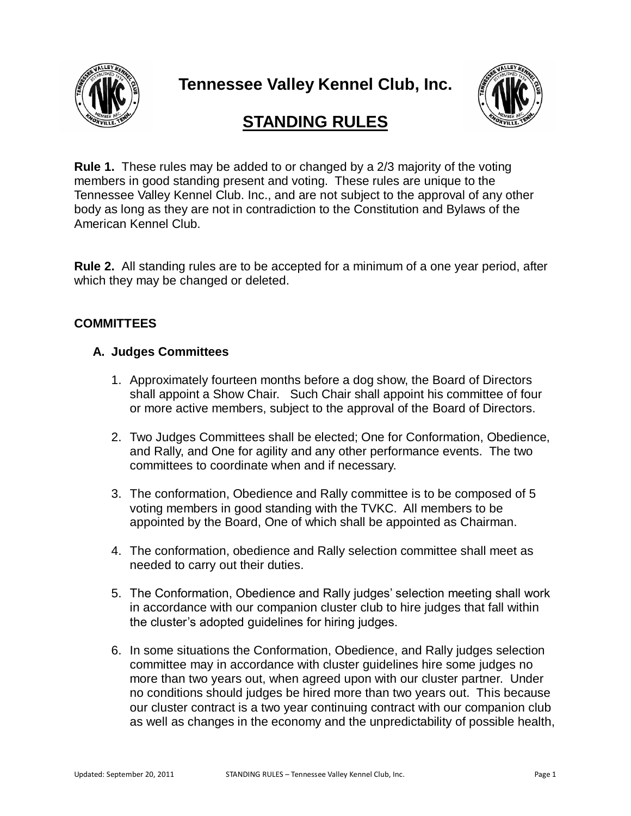

**Tennessee Valley Kennel Club, Inc.**



# **STANDING RULES**

**Rule 1.** These rules may be added to or changed by a 2/3 majority of the voting members in good standing present and voting. These rules are unique to the Tennessee Valley Kennel Club. Inc., and are not subject to the approval of any other body as long as they are not in contradiction to the Constitution and Bylaws of the American Kennel Club.

**Rule 2.** All standing rules are to be accepted for a minimum of a one year period, after which they may be changed or deleted.

## **COMMITTEES**

#### **A. Judges Committees**

- 1. Approximately fourteen months before a dog show, the Board of Directors shall appoint a Show Chair. Such Chair shall appoint his committee of four or more active members, subject to the approval of the Board of Directors.
- 2. Two Judges Committees shall be elected; One for Conformation, Obedience, and Rally, and One for agility and any other performance events. The two committees to coordinate when and if necessary.
- 3. The conformation, Obedience and Rally committee is to be composed of 5 voting members in good standing with the TVKC. All members to be appointed by the Board, One of which shall be appointed as Chairman.
- 4. The conformation, obedience and Rally selection committee shall meet as needed to carry out their duties.
- 5. The Conformation, Obedience and Rally judges' selection meeting shall work in accordance with our companion cluster club to hire judges that fall within the cluster's adopted guidelines for hiring judges.
- 6. In some situations the Conformation, Obedience, and Rally judges selection committee may in accordance with cluster guidelines hire some judges no more than two years out, when agreed upon with our cluster partner. Under no conditions should judges be hired more than two years out. This because our cluster contract is a two year continuing contract with our companion club as well as changes in the economy and the unpredictability of possible health,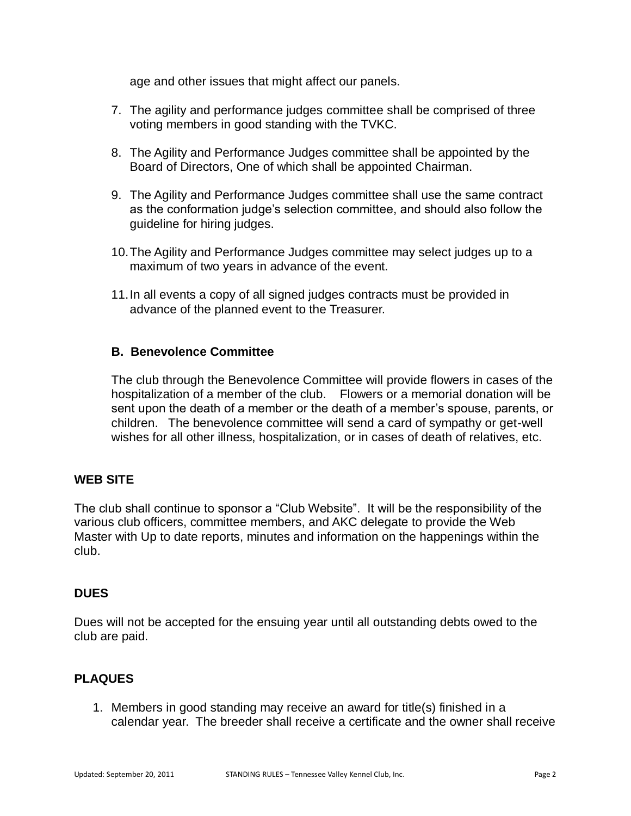age and other issues that might affect our panels.

- 7. The agility and performance judges committee shall be comprised of three voting members in good standing with the TVKC.
- 8. The Agility and Performance Judges committee shall be appointed by the Board of Directors, One of which shall be appointed Chairman.
- 9. The Agility and Performance Judges committee shall use the same contract as the conformation judge's selection committee, and should also follow the guideline for hiring judges.
- 10.The Agility and Performance Judges committee may select judges up to a maximum of two years in advance of the event.
- 11.In all events a copy of all signed judges contracts must be provided in advance of the planned event to the Treasurer.

## **B. Benevolence Committee**

The club through the Benevolence Committee will provide flowers in cases of the hospitalization of a member of the club. Flowers or a memorial donation will be sent upon the death of a member or the death of a member's spouse, parents, or children. The benevolence committee will send a card of sympathy or get-well wishes for all other illness, hospitalization, or in cases of death of relatives, etc.

# **WEB SITE**

The club shall continue to sponsor a "Club Website". It will be the responsibility of the various club officers, committee members, and AKC delegate to provide the Web Master with Up to date reports, minutes and information on the happenings within the club.

#### **DUES**

Dues will not be accepted for the ensuing year until all outstanding debts owed to the club are paid.

# **PLAQUES**

1. Members in good standing may receive an award for title(s) finished in a calendar year. The breeder shall receive a certificate and the owner shall receive